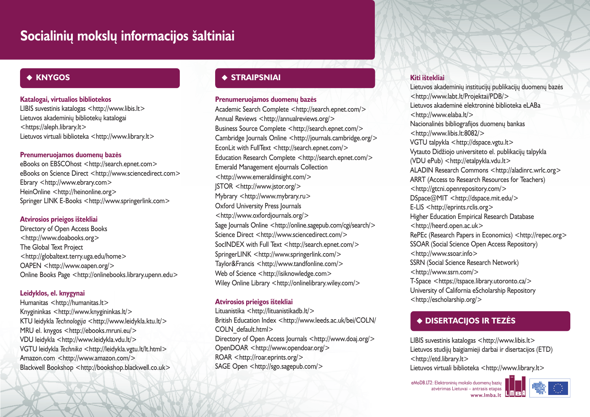# **Socialiniø mokslø informacijos ðaltiniai**

# **KNYGOS**

## **Katalogai, virtualios bibliotekos**

LIBIS suvestinis katalogas <http://www.libis.lt> Lietuvos akademinių bibliotekų katalogai <https://aleph.library.lt> Lietuvos virtuali biblioteka <http://www.library.lt>

## **Prenumeruojamos duomenø bazës**

eBooks on EBSCOhost <http://search.epnet.com> eBooks on Science Direct <http://www.sciencedirect.com> Ebrary <http://www.ebrary.com> HeinOnline <http://heinonline.org> Springer LINK E-Books <http://www.springerlink.com>

## **Atvirosios prieigos ištekliai**

Directory of Open Access Books <http://www.doabooks.org> The Global Text Project <http://globaltext.terry.uga.edu/home> OAPEN <http://www.oapen.org/> Online Books Page <http://onlinebooks.library.upenn.edu>

## **Leidyklos, el. knygynai**

Humanitas <http://humanitas.lt> Knygininkas <http://www.knygininkas.lt/> KTU leidykla *Technologija* <http://www.leidykla.ktu.lt/> MRU el. knygos <http://ebooks.mruni.eu/> VDU leidykla <http://www.leidykla.vdu.lt/> VGTU leidykla *Technika* <http://leidykla.vgtu.lt/lt.html> Amazon.com <http://www.amazon.com/> Blackwell Bookshop <http://bookshop.blackwell.co.uk>

# **STRAIPSNIAI**

## **Prenumeruojamos duomenø bazës**

Academic Search Complete <http://search.epnet.com/> Annual Reviews <http://annualreviews.org/> Business Source Complete <http://search.epnet.com/> Cambridge Journals Online <http://journals.cambridge.org/> EconLit with FullText <http://search.epnet.com/> Education Research Complete <http://search.epnet.com/> Emerald Management eJournals Collection <http://www.emeraldinsight.com/> JSTOR <http://www.jstor.org/> Mybrary <http://www.mybrary.ru> Oxford University Press Journals <http://www.oxfordjournals.org/> Sage Journals Online <http://online.sagepub.com/cgi/search/> Science Direct <http://www.sciencedirect.com/> SocINDEX with Full Text <http://search.epnet.com/> SpringerLINK <http://www.springerlink.com/> Taylor&Francis <http://www.tandfonline.com/> Web of Science <http://isiknowledge.com> Wiley Online Library <http://onlinelibrary.wiley.com/>

## **Atvirosios prieigos ištekliai**

Lituanistika <http://lituanistikadb.lt/> British Education Index <http://www.leeds.ac.uk/bei/COLN/ COLN\_default.html> Directory of Open Access Journals <http://www.doaj.org/> OpenDOAR <http://www.opendoar.org/> ROAR <http://roar.eprints.org/> SAGE Open <http://sgo.sagepub.com/>

## **Kiti ištekliai**

Lietuvos akademinių institucijų publikacijų duomenų bazės <http://www.labt.lt/Projektai/PDB/> Lietuvos akademinë elektroninë biblioteka eLABa <http://www.elaba.lt/> Nacionalinės bibliografijos duomenų bankas <http://www.libis.lt:8082/> VGTU talpykla <http://dspace.vgtu.lt> Vytauto Didžiojo universiteto el. publikacijų talpykla (VDU ePub) <http://etalpykla.vdu.lt> ALADIN Research Commons <http://aladinrc.wrlc.org> ARRT (Access to Research Resources for Teachers) <http://gtcni.openrepository.com/> DSpace@MIT <http://dspace.mit.edu/> E-LIS <http://eprints.rclis.org> Higher Education Empirical Research Database <http://heerd.open.ac.uk> RePEc (Research Papers in Economics) <http://repec.org> SSOAR (Social Science Open Access Repository) <http://www.ssoar.info> SSRN (Social Science Research Network) <http://www.ssrn.com/> T-Space <https://tspace.library.utoronto.ca/> University of California eScholarship Repository <http://escholarship.org/>

# **DISERTACIJOS IR TEZËS**

LIBIS suvestinis katalogas <http://www.libis.lt> Lietuvos studijø baigiamieji darbai ir disertacijos (ETD) <http://etd.library.lt>

Lietuvos virtuali biblioteka <http://www.library.lt>

eMoDB.LT2: Elektroninių mokslo duomenų bazių atvërimas Lietuvai – antrasis etapas **www.lmba.lt**